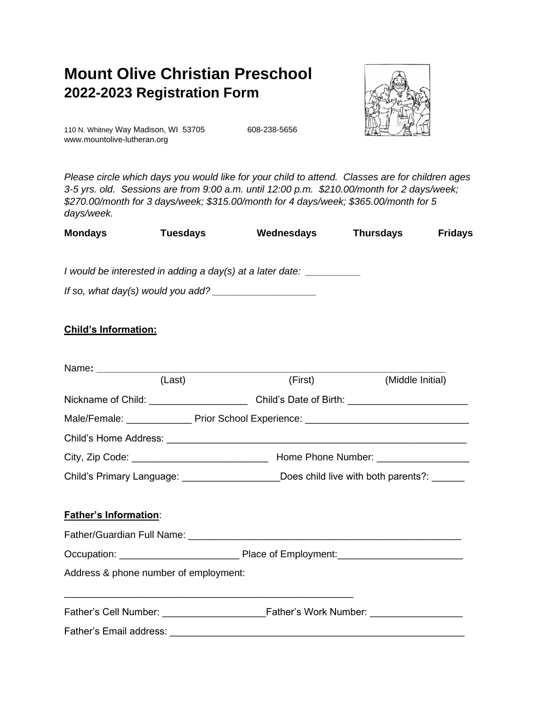# **Mount Olive Christian Preschool 2022-2023 Registration Form**



110 N. Whitney Way Madison, WI 53705 608-238-5656 www.mountolive-lutheran.org

*Please circle which days you would like for your child to attend. Classes are for children ages 3-5 yrs. old. Sessions are from 9:00 a.m. until 12:00 p.m. \$210.00/m[onth for 2](https://creativecommons.org/licenses/by-nc/3.0/) days/week; \$270.00/month for 3 days/week; \$315.00/month for 4 days/week; \$365.00/month for 5 days/week.*

| <b>Mondays</b> | <b>Tuesdays</b> | Wednesdays | <b>Thursdays</b> | <b>Fridays</b> |
|----------------|-----------------|------------|------------------|----------------|
|                |                 |            |                  |                |

*I would be interested in adding a day(s) at a later date: \_\_\_\_\_\_\_\_\_\_* 

*If so, what day(s) would you add? \_\_\_\_\_\_\_\_\_\_\_\_\_\_\_\_\_\_\_*

# **Child's Information:**

|                                       | (Last)<br>(First) (Middle Initial)                                                        |  |
|---------------------------------------|-------------------------------------------------------------------------------------------|--|
|                                       |                                                                                           |  |
|                                       | Male/Female: ________________Prior School Experience: ___________________________         |  |
|                                       |                                                                                           |  |
|                                       |                                                                                           |  |
|                                       | Child's Primary Language: _____________________Does child live with both parents?: ______ |  |
| <b>Father's Information:</b>          |                                                                                           |  |
|                                       |                                                                                           |  |
| Address & phone number of employment: |                                                                                           |  |
|                                       |                                                                                           |  |
|                                       |                                                                                           |  |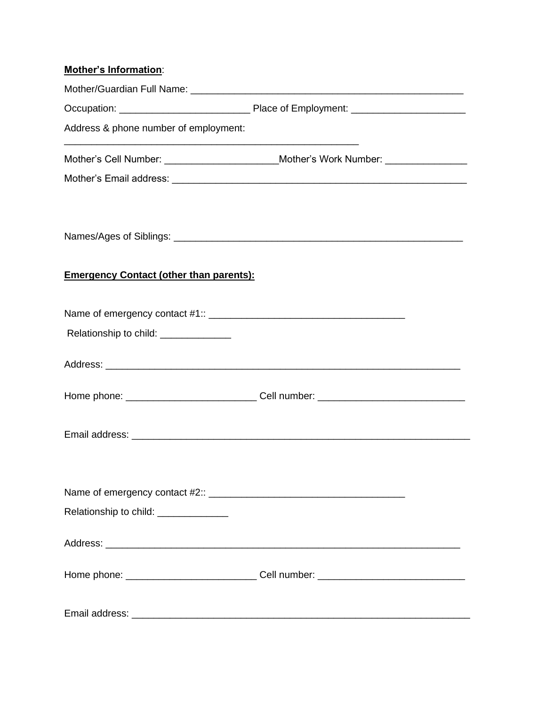| <b>Mother's Information:</b>                   |                                                                                   |
|------------------------------------------------|-----------------------------------------------------------------------------------|
|                                                |                                                                                   |
|                                                |                                                                                   |
| Address & phone number of employment:          |                                                                                   |
|                                                | Mother's Cell Number: _________________________Mother's Work Number: ____________ |
|                                                |                                                                                   |
|                                                |                                                                                   |
|                                                |                                                                                   |
| <b>Emergency Contact (other than parents):</b> |                                                                                   |
|                                                |                                                                                   |
| Relationship to child: ______________          |                                                                                   |
|                                                |                                                                                   |
|                                                | Home phone: _______________________________Cell number: _________________________ |
|                                                |                                                                                   |
|                                                |                                                                                   |
|                                                |                                                                                   |
| Relationship to child: ______________          |                                                                                   |
|                                                |                                                                                   |
|                                                |                                                                                   |
|                                                |                                                                                   |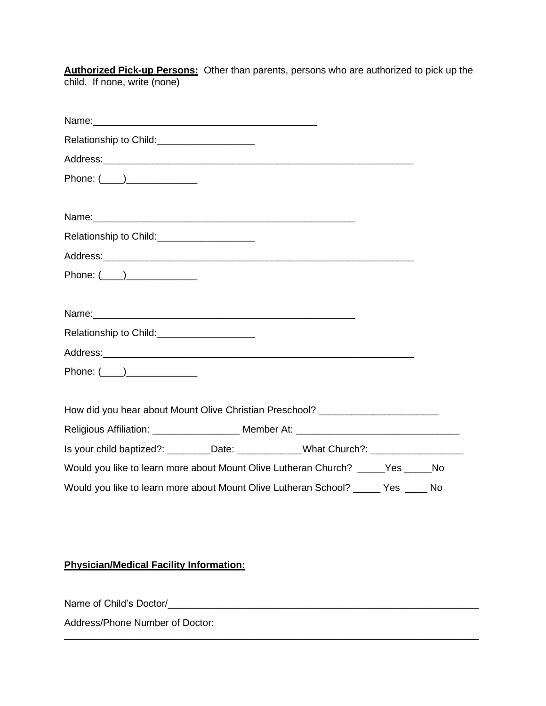**Authorized Pick-up Persons:** Other than parents, persons who are authorized to pick up the child. If none, write (none)

| Phone: (____)______________                                                       |
|-----------------------------------------------------------------------------------|
|                                                                                   |
|                                                                                   |
| Relationship to Child:<br><u>[</u> [11][12] Relationship to Child:                |
|                                                                                   |
| Phone: $(\_\_)$                                                                   |
|                                                                                   |
|                                                                                   |
| Relationship to Child: ______________________                                     |
|                                                                                   |
| Phone: (____)________________                                                     |
|                                                                                   |
| How did you hear about Mount Olive Christian Preschool? ________________________  |
| Religious Affiliation: _____________________ Member At: ________________________  |
| Is your child baptized?: _________Date: ____________What Church?: ______________  |
| Would you like to learn more about Mount Olive Lutheran Church? _____Yes _____No  |
| Would you like to learn more about Mount Olive Lutheran School? _____ Yes ____ No |

\_\_\_\_\_\_\_\_\_\_\_\_\_\_\_\_\_\_\_\_\_\_\_\_\_\_\_\_\_\_\_\_\_\_\_\_\_\_\_\_\_\_\_\_\_\_\_\_\_\_\_\_\_\_\_\_\_\_\_\_\_\_\_\_\_\_\_\_\_\_\_\_\_\_\_\_

**Physician/Medical Facility Information:**

Name of Child's Doctor/\_\_\_\_\_\_\_\_\_\_\_\_\_\_\_\_\_\_\_\_\_\_\_\_\_\_\_\_\_\_\_\_\_\_\_\_\_\_\_\_\_\_\_\_\_\_\_\_\_\_\_\_\_\_\_\_\_

Address/Phone Number of Doctor: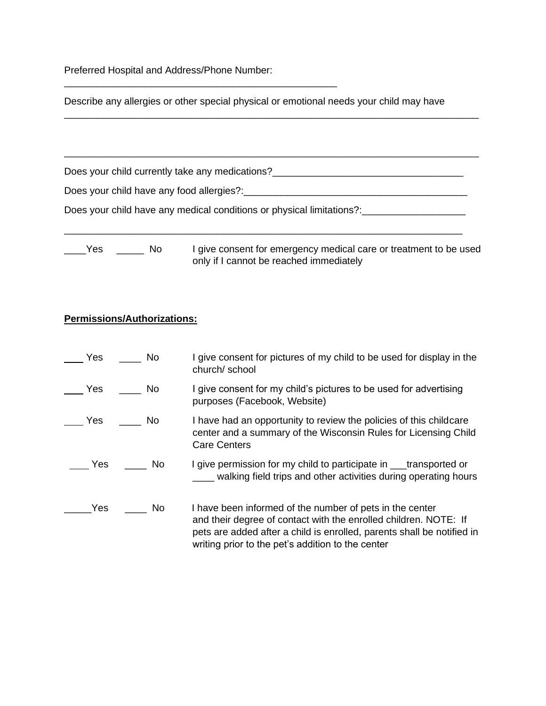Preferred Hospital and Address/Phone Number:

\_\_\_\_\_\_\_\_\_\_\_\_\_\_\_\_\_\_\_\_\_\_\_\_\_\_\_\_\_\_\_\_\_\_\_\_\_\_\_\_\_\_\_\_\_\_\_\_\_\_

Describe any allergies or other special physical or emotional needs your child may have

\_\_\_\_\_\_\_\_\_\_\_\_\_\_\_\_\_\_\_\_\_\_\_\_\_\_\_\_\_\_\_\_\_\_\_\_\_\_\_\_\_\_\_\_\_\_\_\_\_\_\_\_\_\_\_\_\_\_\_\_\_\_\_\_\_\_\_\_\_\_\_\_\_\_\_\_

Does your child currently take any medications?\_\_\_\_\_\_\_\_\_\_\_\_\_\_\_\_\_\_\_\_\_\_\_\_\_\_\_\_\_\_\_\_\_

| Does your child have any food allergies?: |
|-------------------------------------------|
|-------------------------------------------|

\_\_\_\_\_\_\_\_\_\_\_\_\_\_\_\_\_\_\_\_\_\_\_\_\_\_\_\_\_\_\_\_\_\_\_\_\_\_\_\_\_\_\_\_\_\_\_\_\_\_\_\_\_\_\_\_\_\_\_\_\_\_\_\_\_\_\_\_\_\_\_\_\_

Does your child have any medical conditions or physical limitations?:\_\_\_\_\_\_\_\_\_\_\_\_\_\_\_\_\_

| -- |  |
|----|--|
|    |  |

o ligive consent for emergency medical care or treatment to be used only if I cannot be reached immediately

#### **Permissions/Authorizations:**

| Yes | in No     | I give consent for pictures of my child to be used for display in the<br>church/school                                                                                                                                                                      |
|-----|-----------|-------------------------------------------------------------------------------------------------------------------------------------------------------------------------------------------------------------------------------------------------------------|
| Yes | in No     | I give consent for my child's pictures to be used for advertising<br>purposes (Facebook, Website)                                                                                                                                                           |
|     | Yes No    | I have had an opportunity to review the policies of this childcare<br>center and a summary of the Wisconsin Rules for Licensing Child<br><b>Care Centers</b>                                                                                                |
|     | Yes No    | I give permission for my child to participate in ____transported or<br>walking field trips and other activities during operating hours                                                                                                                      |
| Yes | <b>No</b> | I have been informed of the number of pets in the center<br>and their degree of contact with the enrolled children. NOTE: If<br>pets are added after a child is enrolled, parents shall be notified in<br>writing prior to the pet's addition to the center |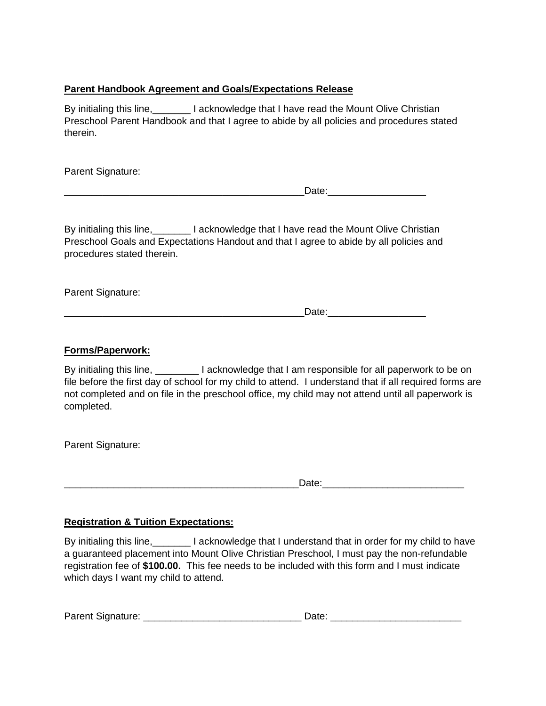#### **Parent Handbook Agreement and Goals/Expectations Release**

By initialing this line, **No. 1. I acknowledge that I have read the Mount Olive Christian** Preschool Parent Handbook and that I agree to abide by all policies and procedures stated therein.

Parent Signature:

| ---<br>-<br>______ |
|--------------------|
|--------------------|

By initialing this line, **No. 1. I acknowledge that I have read the Mount Olive Christian** Preschool Goals and Expectations Handout and that I agree to abide by all policies and procedures stated therein.

Parent Signature:

 $\blacksquare$   $\blacksquare$   $\blacksquare$   $\blacksquare$   $\blacksquare$   $\blacksquare$   $\blacksquare$   $\blacksquare$   $\blacksquare$   $\blacksquare$   $\blacksquare$   $\blacksquare$   $\blacksquare$   $\blacksquare$   $\blacksquare$   $\blacksquare$   $\blacksquare$   $\blacksquare$   $\blacksquare$   $\blacksquare$   $\blacksquare$   $\blacksquare$   $\blacksquare$   $\blacksquare$   $\blacksquare$   $\blacksquare$   $\blacksquare$   $\blacksquare$   $\blacksquare$   $\blacksquare$   $\blacksquare$   $\blacks$ 

#### **Forms/Paperwork:**

By initialing this line, **I** acknowledge that I am responsible for all paperwork to be on file before the first day of school for my child to attend. I understand that if all required forms are not completed and on file in the preschool office, my child may not attend until all paperwork is completed.

Parent Signature:

\_\_\_\_\_\_\_\_\_\_\_\_\_\_\_\_\_\_\_\_\_\_\_\_\_\_\_\_\_\_\_\_\_\_\_\_\_\_\_\_\_\_\_Date:\_\_\_\_\_\_\_\_\_\_\_\_\_\_\_\_\_\_\_\_\_\_\_\_\_\_

## **Registration & Tuition Expectations:**

By initialing this line,\_\_\_\_\_\_\_ I acknowledge that I understand that in order for my child to have a guaranteed placement into Mount Olive Christian Preschool, I must pay the non-refundable registration fee of **\$100.00.** This fee needs to be included with this form and I must indicate which days I want my child to attend.

| Parent Signature: | )ate |  |
|-------------------|------|--|
|                   |      |  |